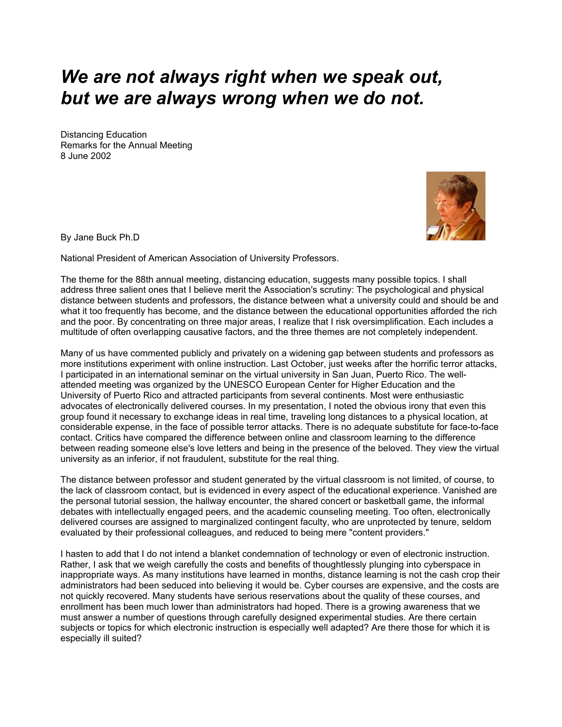## *We are not always right when we speak out, but we are always wrong when we do not.*

Distancing Education Remarks for the Annual Meeting 8 June 2002



By Jane Buck Ph.D

National President of American Association of University Professors.

The theme for the 88th annual meeting, distancing education, suggests many possible topics. I shall address three salient ones that I believe merit the Association's scrutiny: The psychological and physical distance between students and professors, the distance between what a university could and should be and what it too frequently has become, and the distance between the educational opportunities afforded the rich and the poor. By concentrating on three major areas, I realize that I risk oversimplification. Each includes a multitude of often overlapping causative factors, and the three themes are not completely independent.

Many of us have commented publicly and privately on a widening gap between students and professors as more institutions experiment with online instruction. Last October, just weeks after the horrific terror attacks, I participated in an international seminar on the virtual university in San Juan, Puerto Rico. The wellattended meeting was organized by the UNESCO European Center for Higher Education and the University of Puerto Rico and attracted participants from several continents. Most were enthusiastic advocates of electronically delivered courses. In my presentation, I noted the obvious irony that even this group found it necessary to exchange ideas in real time, traveling long distances to a physical location, at considerable expense, in the face of possible terror attacks. There is no adequate substitute for face-to-face contact. Critics have compared the difference between online and classroom learning to the difference between reading someone else's love letters and being in the presence of the beloved. They view the virtual university as an inferior, if not fraudulent, substitute for the real thing.

The distance between professor and student generated by the virtual classroom is not limited, of course, to the lack of classroom contact, but is evidenced in every aspect of the educational experience. Vanished are the personal tutorial session, the hallway encounter, the shared concert or basketball game, the informal debates with intellectually engaged peers, and the academic counseling meeting. Too often, electronically delivered courses are assigned to marginalized contingent faculty, who are unprotected by tenure, seldom evaluated by their professional colleagues, and reduced to being mere "content providers."

I hasten to add that I do not intend a blanket condemnation of technology or even of electronic instruction. Rather, I ask that we weigh carefully the costs and benefits of thoughtlessly plunging into cyberspace in inappropriate ways. As many institutions have learned in months, distance learning is not the cash crop their administrators had been seduced into believing it would be. Cyber courses are expensive, and the costs are not quickly recovered. Many students have serious reservations about the quality of these courses, and enrollment has been much lower than administrators had hoped. There is a growing awareness that we must answer a number of questions through carefully designed experimental studies. Are there certain subjects or topics for which electronic instruction is especially well adapted? Are there those for which it is especially ill suited?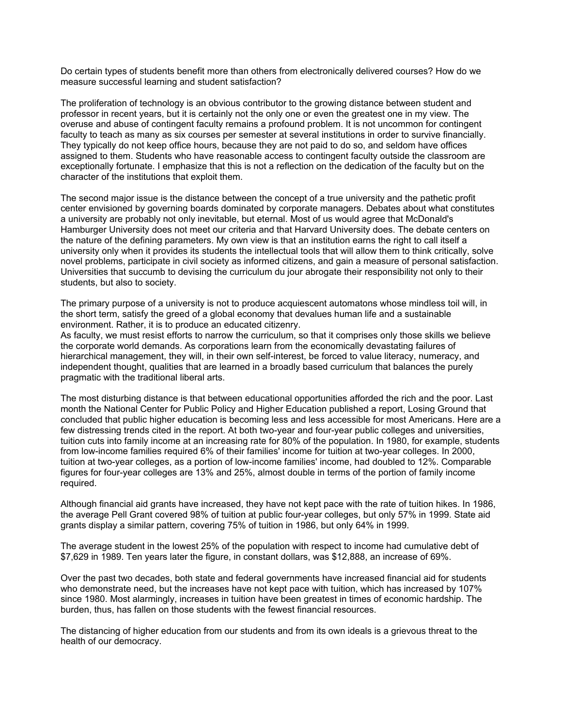Do certain types of students benefit more than others from electronically delivered courses? How do we measure successful learning and student satisfaction?

The proliferation of technology is an obvious contributor to the growing distance between student and professor in recent years, but it is certainly not the only one or even the greatest one in my view. The overuse and abuse of contingent faculty remains a profound problem. It is not uncommon for contingent faculty to teach as many as six courses per semester at several institutions in order to survive financially. They typically do not keep office hours, because they are not paid to do so, and seldom have offices assigned to them. Students who have reasonable access to contingent faculty outside the classroom are exceptionally fortunate. I emphasize that this is not a reflection on the dedication of the faculty but on the character of the institutions that exploit them.

The second major issue is the distance between the concept of a true university and the pathetic profit center envisioned by governing boards dominated by corporate managers. Debates about what constitutes a university are probably not only inevitable, but eternal. Most of us would agree that McDonald's Hamburger University does not meet our criteria and that Harvard University does. The debate centers on the nature of the defining parameters. My own view is that an institution earns the right to call itself a university only when it provides its students the intellectual tools that will allow them to think critically, solve novel problems, participate in civil society as informed citizens, and gain a measure of personal satisfaction. Universities that succumb to devising the curriculum du jour abrogate their responsibility not only to their students, but also to society.

The primary purpose of a university is not to produce acquiescent automatons whose mindless toil will, in the short term, satisfy the greed of a global economy that devalues human life and a sustainable environment. Rather, it is to produce an educated citizenry.

As faculty, we must resist efforts to narrow the curriculum, so that it comprises only those skills we believe the corporate world demands. As corporations learn from the economically devastating failures of hierarchical management, they will, in their own self-interest, be forced to value literacy, numeracy, and independent thought, qualities that are learned in a broadly based curriculum that balances the purely pragmatic with the traditional liberal arts.

The most disturbing distance is that between educational opportunities afforded the rich and the poor. Last month the National Center for Public Policy and Higher Education published a report, Losing Ground that concluded that public higher education is becoming less and less accessible for most Americans. Here are a few distressing trends cited in the report. At both two-year and four-year public colleges and universities, tuition cuts into family income at an increasing rate for 80% of the population. In 1980, for example, students from low-income families required 6% of their families' income for tuition at two-year colleges. In 2000, tuition at two-year colleges, as a portion of low-income families' income, had doubled to 12%. Comparable figures for four-year colleges are 13% and 25%, almost double in terms of the portion of family income required.

Although financial aid grants have increased, they have not kept pace with the rate of tuition hikes. In 1986, the average Pell Grant covered 98% of tuition at public four-year colleges, but only 57% in 1999. State aid grants display a similar pattern, covering 75% of tuition in 1986, but only 64% in 1999.

The average student in the lowest 25% of the population with respect to income had cumulative debt of \$7,629 in 1989. Ten years later the figure, in constant dollars, was \$12,888, an increase of 69%.

Over the past two decades, both state and federal governments have increased financial aid for students who demonstrate need, but the increases have not kept pace with tuition, which has increased by 107% since 1980. Most alarmingly, increases in tuition have been greatest in times of economic hardship. The burden, thus, has fallen on those students with the fewest financial resources.

The distancing of higher education from our students and from its own ideals is a grievous threat to the health of our democracy.